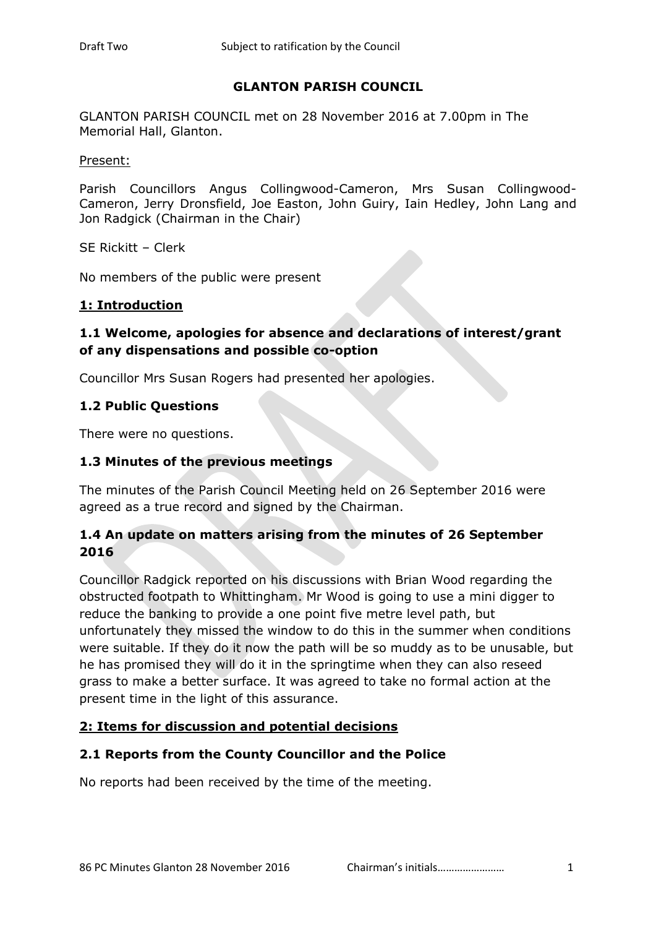## **GLANTON PARISH COUNCIL**

GLANTON PARISH COUNCIL met on 28 November 2016 at 7.00pm in The Memorial Hall, Glanton.

Present:

Parish Councillors Angus Collingwood-Cameron, Mrs Susan Collingwood-Cameron, Jerry Dronsfield, Joe Easton, John Guiry, Iain Hedley, John Lang and Jon Radgick (Chairman in the Chair)

SE Rickitt – Clerk

No members of the public were present

#### **1: Introduction**

## **1.1 Welcome, apologies for absence and declarations of interest/grant of any dispensations and possible co-option**

Councillor Mrs Susan Rogers had presented her apologies.

## **1.2 Public Questions**

There were no questions.

## **1.3 Minutes of the previous meetings**

The minutes of the Parish Council Meeting held on 26 September 2016 were agreed as a true record and signed by the Chairman.

# **1.4 An update on matters arising from the minutes of 26 September 2016**

Councillor Radgick reported on his discussions with Brian Wood regarding the obstructed footpath to Whittingham. Mr Wood is going to use a mini digger to reduce the banking to provide a one point five metre level path, but unfortunately they missed the window to do this in the summer when conditions were suitable. If they do it now the path will be so muddy as to be unusable, but he has promised they will do it in the springtime when they can also reseed grass to make a better surface. It was agreed to take no formal action at the present time in the light of this assurance.

## **2: Items for discussion and potential decisions**

## **2.1 Reports from the County Councillor and the Police**

No reports had been received by the time of the meeting.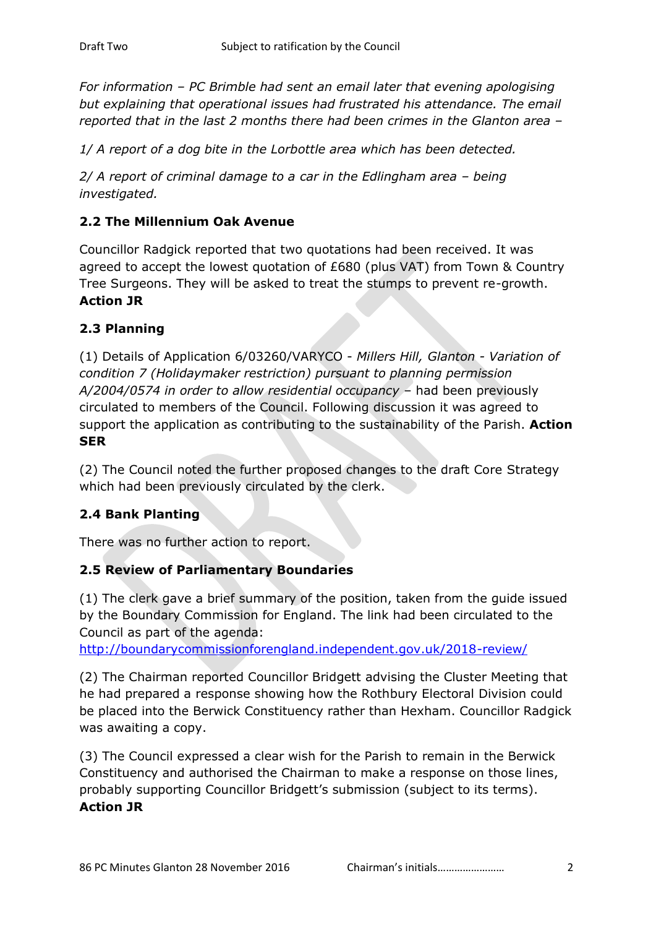*For information – PC Brimble had sent an email later that evening apologising but explaining that operational issues had frustrated his attendance. The email reported that in the last 2 months there had been crimes in the Glanton area –*

*1/ A report of a dog bite in the Lorbottle area which has been detected.*

*2/ A report of criminal damage to a car in the Edlingham area – being investigated.*

# **2.2 The Millennium Oak Avenue**

Councillor Radgick reported that two quotations had been received. It was agreed to accept the lowest quotation of £680 (plus VAT) from Town & Country Tree Surgeons. They will be asked to treat the stumps to prevent re-growth. **Action JR**

## **2.3 Planning**

(1) Details of Application 6/03260/VARYCO - *Millers Hill, Glanton - Variation of condition 7 (Holidaymaker restriction) pursuant to planning permission A/2004/0574 in order to allow residential occupancy* – had been previously circulated to members of the Council. Following discussion it was agreed to support the application as contributing to the sustainability of the Parish. **Action SER**

(2) The Council noted the further proposed changes to the draft Core Strategy which had been previously circulated by the clerk.

# **2.4 Bank Planting**

There was no further action to report.

## **2.5 Review of Parliamentary Boundaries**

(1) The clerk gave a brief summary of the position, taken from the guide issued by the Boundary Commission for England. The link had been circulated to the Council as part of the agenda:

<http://boundarycommissionforengland.independent.gov.uk/2018-review/>

(2) The Chairman reported Councillor Bridgett advising the Cluster Meeting that he had prepared a response showing how the Rothbury Electoral Division could be placed into the Berwick Constituency rather than Hexham. Councillor Radgick was awaiting a copy.

(3) The Council expressed a clear wish for the Parish to remain in the Berwick Constituency and authorised the Chairman to make a response on those lines, probably supporting Councillor Bridgett's submission (subject to its terms). **Action JR**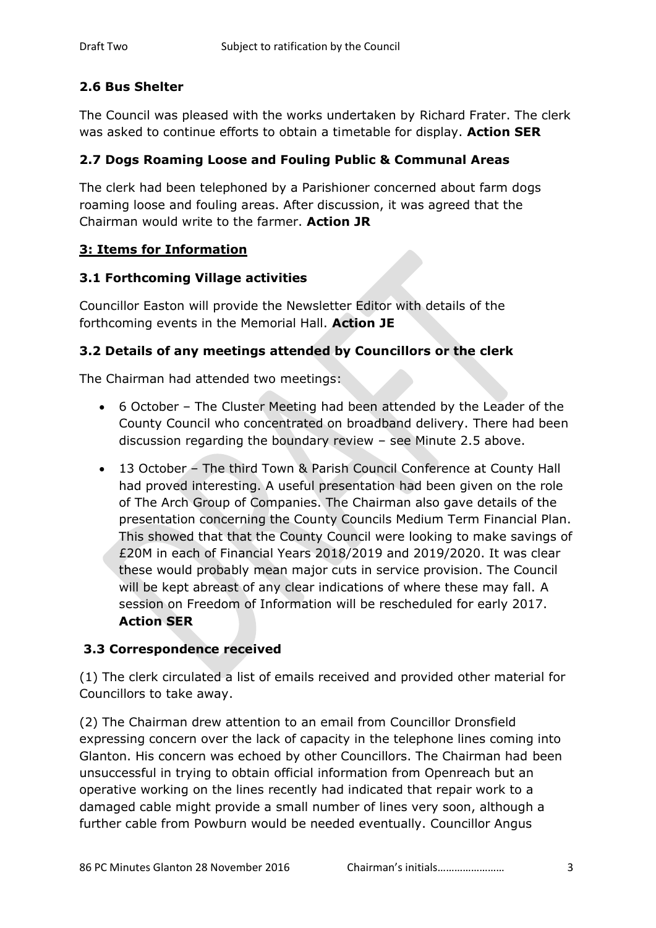# **2.6 Bus Shelter**

The Council was pleased with the works undertaken by Richard Frater. The clerk was asked to continue efforts to obtain a timetable for display. **Action SER**

# **2.7 Dogs Roaming Loose and Fouling Public & Communal Areas**

The clerk had been telephoned by a Parishioner concerned about farm dogs roaming loose and fouling areas. After discussion, it was agreed that the Chairman would write to the farmer. **Action JR**

# **3: Items for Information**

# **3.1 Forthcoming Village activities**

Councillor Easton will provide the Newsletter Editor with details of the forthcoming events in the Memorial Hall. **Action JE**

## **3.2 Details of any meetings attended by Councillors or the clerk**

The Chairman had attended two meetings:

- 6 October The Cluster Meeting had been attended by the Leader of the County Council who concentrated on broadband delivery. There had been discussion regarding the boundary review – see Minute 2.5 above.
- 13 October The third Town & Parish Council Conference at County Hall had proved interesting. A useful presentation had been given on the role of The Arch Group of Companies. The Chairman also gave details of the presentation concerning the County Councils Medium Term Financial Plan. This showed that that the County Council were looking to make savings of £20M in each of Financial Years 2018/2019 and 2019/2020. It was clear these would probably mean major cuts in service provision. The Council will be kept abreast of any clear indications of where these may fall. A session on Freedom of Information will be rescheduled for early 2017. **Action SER**

# **3.3 Correspondence received**

(1) The clerk circulated a list of emails received and provided other material for Councillors to take away.

(2) The Chairman drew attention to an email from Councillor Dronsfield expressing concern over the lack of capacity in the telephone lines coming into Glanton. His concern was echoed by other Councillors. The Chairman had been unsuccessful in trying to obtain official information from Openreach but an operative working on the lines recently had indicated that repair work to a damaged cable might provide a small number of lines very soon, although a further cable from Powburn would be needed eventually. Councillor Angus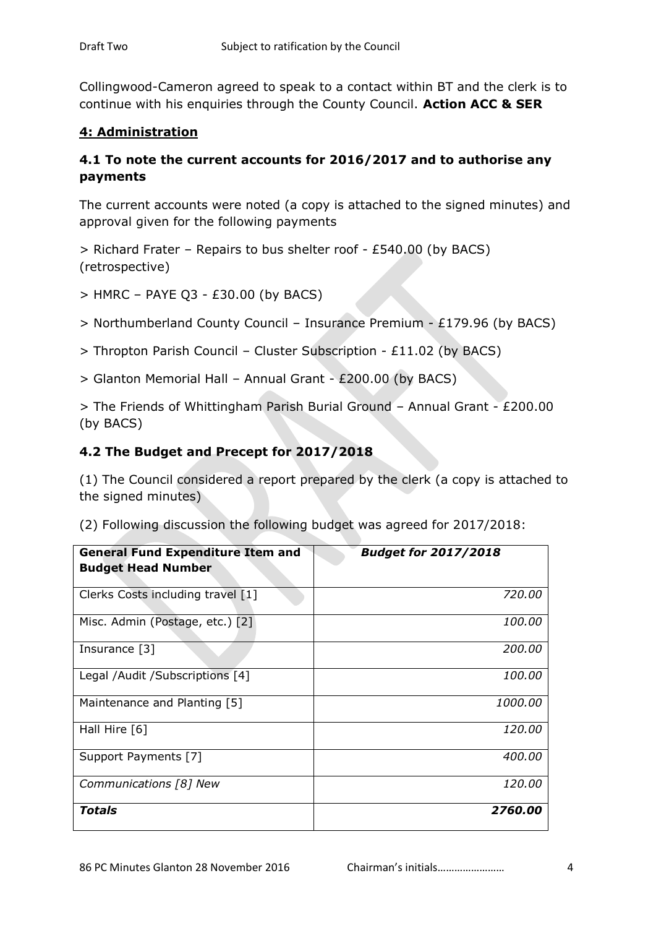Collingwood-Cameron agreed to speak to a contact within BT and the clerk is to continue with his enquiries through the County Council. **Action ACC & SER**

# **4: Administration**

# **4.1 To note the current accounts for 2016/2017 and to authorise any payments**

The current accounts were noted (a copy is attached to the signed minutes) and approval given for the following payments

> Richard Frater – Repairs to bus shelter roof - £540.00 (by BACS) (retrospective)

- $>$  HMRC PAYE Q3 £30.00 (by BACS)
- > Northumberland County Council Insurance Premium £179.96 (by BACS)
- > Thropton Parish Council Cluster Subscription £11.02 (by BACS)
- > Glanton Memorial Hall Annual Grant £200.00 (by BACS)

> The Friends of Whittingham Parish Burial Ground – Annual Grant - £200.00 (by BACS)

# **4.2 The Budget and Precept for 2017/2018**

(1) The Council considered a report prepared by the clerk (a copy is attached to the signed minutes)

| <b>General Fund Expenditure Item and</b><br><b>Budget Head Number</b> | <b>Budget for 2017/2018</b> |
|-----------------------------------------------------------------------|-----------------------------|
| Clerks Costs including travel [1]                                     | 720.00                      |
| Misc. Admin (Postage, etc.) [2]                                       | <i>100.00</i>               |
| Insurance [3]                                                         | 200.00                      |
| Legal /Audit /Subscriptions [4]                                       | <i>100.00</i>               |
| Maintenance and Planting [5]                                          | <i>1000.00</i>              |
| Hall Hire $[6]$                                                       | <i>120.00</i>               |
| Support Payments [7]                                                  | 400.00                      |
| Communications [8] New                                                | 120.00                      |
| <b>Totals</b>                                                         | 2760.00                     |

(2) Following discussion the following budget was agreed for 2017/2018: